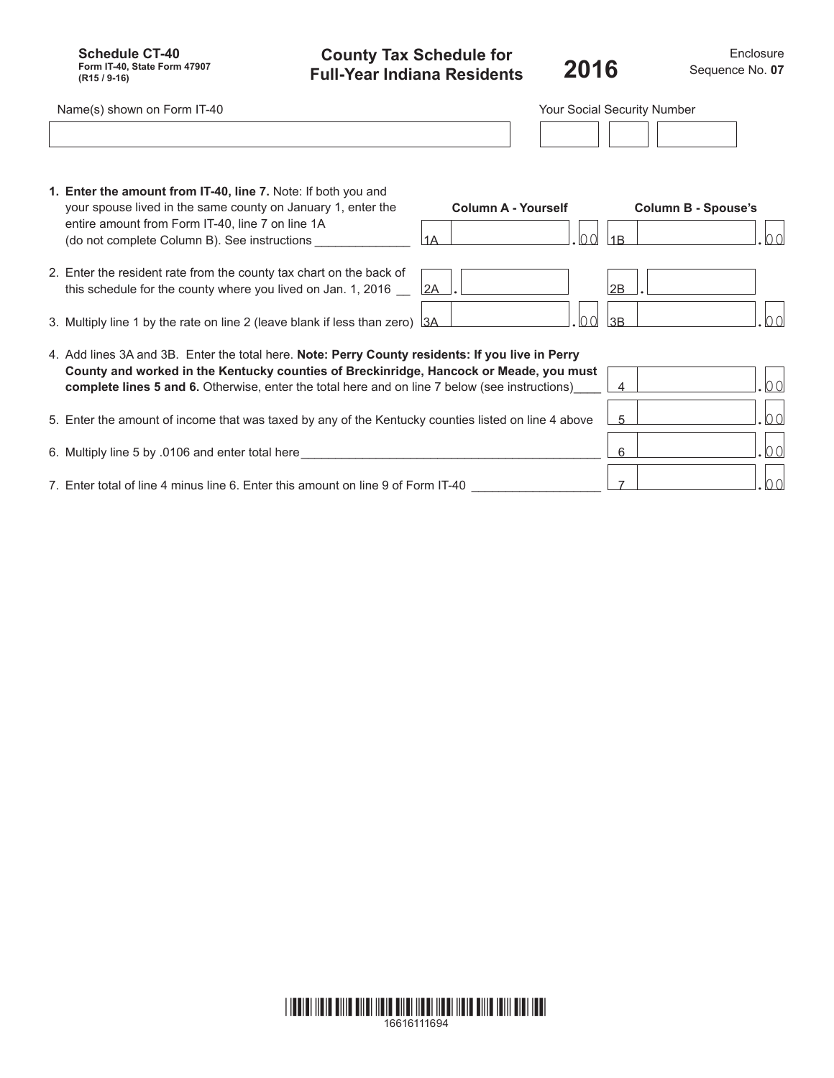**Schedule CT-40 Form IT-40, State Form 47907 (R15 / 9-16)**

**County Tax Schedule for Full-Year Indiana Residents**

Enclosure **2016** Sequence No.**<sup>07</sup>**

| Name(s) shown on Form IT-40                                                                                                                                                                                                                                                                         |                                         | Your Social Security Number             |
|-----------------------------------------------------------------------------------------------------------------------------------------------------------------------------------------------------------------------------------------------------------------------------------------------------|-----------------------------------------|-----------------------------------------|
|                                                                                                                                                                                                                                                                                                     |                                         |                                         |
| 1. Enter the amount from IT-40, line 7. Note: If both you and<br>your spouse lived in the same county on January 1, enter the<br>entire amount from Form IT-40, line 7 on line 1A<br>(do not complete Column B). See instructions _                                                                 | <b>Column A - Yourself</b><br>100<br>1A | <b>Column B - Spouse's</b><br>100<br>1B |
| 2. Enter the resident rate from the county tax chart on the back of<br>this schedule for the county where you lived on Jan. 1, 2016                                                                                                                                                                 | 2A                                      | 2B                                      |
| 3. Multiply line 1 by the rate on line 2 (leave blank if less than zero) 3A                                                                                                                                                                                                                         | 100                                     | $\overline{100}$<br>3B                  |
| 4. Add lines 3A and 3B. Enter the total here. Note: Perry County residents: If you live in Perry<br>County and worked in the Kentucky counties of Breckinridge, Hancock or Meade, you must<br><b>complete lines 5 and 6.</b> Otherwise, enter the total here and on line 7 below (see instructions) |                                         | 00 <br>$\overline{4}$                   |
| 5. Enter the amount of income that was taxed by any of the Kentucky counties listed on line 4 above                                                                                                                                                                                                 |                                         | $ 00\rangle$<br>-5                      |
| 6. Multiply line 5 by .0106 and enter total here                                                                                                                                                                                                                                                    |                                         | $ 00\rangle$<br>6                       |
| 7. Enter total of line 4 minus line 6. Enter this amount on line 9 of Form IT-40                                                                                                                                                                                                                    |                                         | 00 <br>$\overline{7}$                   |

|  | 16616111694 |  |  |
|--|-------------|--|--|